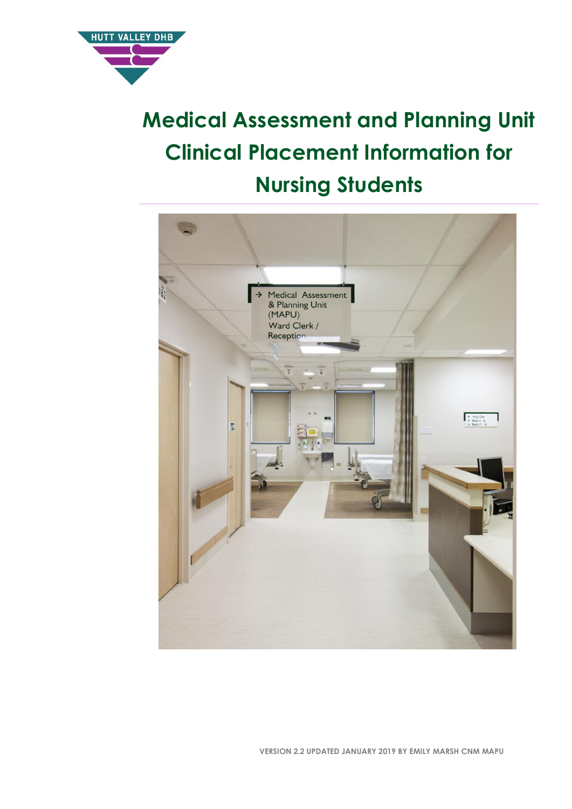

# **Medical Assessment and Planning Unit Clinical Placement Information for Nursing Students**

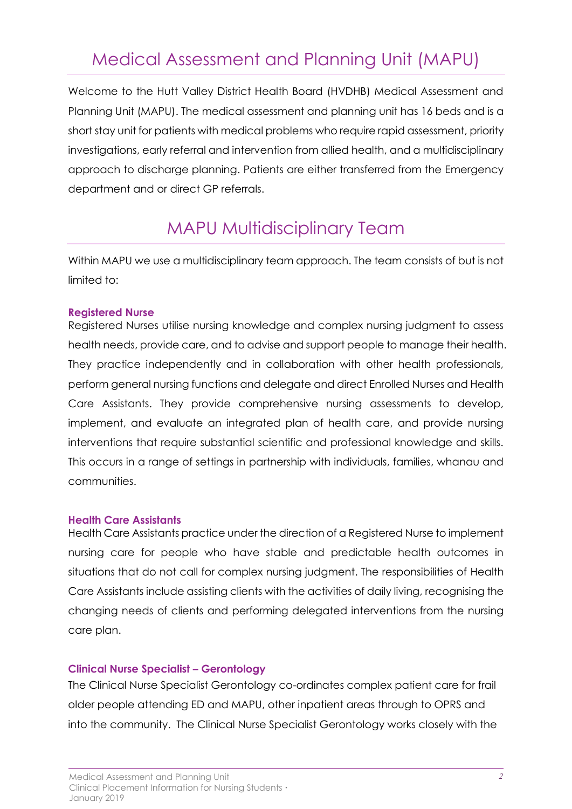# Medical Assessment and Planning Unit (MAPU)

Welcome to the Hutt Valley District Health Board (HVDHB) Medical Assessment and Planning Unit (MAPU). The medical assessment and planning unit has 16 beds and is a short stay unit for patients with medical problems who require rapid assessment, priority investigations, early referral and intervention from allied health, and a multidisciplinary approach to discharge planning. Patients are either transferred from the Emergency department and or direct GP referrals.

### MAPU Multidisciplinary Team

Within MAPU we use a multidisciplinary team approach. The team consists of but is not limited to:

### **Registered Nurse**

Registered Nurses utilise nursing knowledge and complex nursing judgment to assess health needs, provide care, and to advise and support people to manage their health. They practice independently and in collaboration with other health professionals, perform general nursing functions and delegate and direct Enrolled Nurses and Health Care Assistants. They provide comprehensive nursing assessments to develop, implement, and evaluate an integrated plan of health care, and provide nursing interventions that require substantial scientific and professional knowledge and skills. This occurs in a range of settings in partnership with individuals, families, whanau and communities.

### **Health Care Assistants**

Health Care Assistants practice under the direction of a Registered Nurse to implement nursing care for people who have stable and predictable health outcomes in situations that do not call for complex nursing judgment. The responsibilities of Health Care Assistants include assisting clients with the activities of daily living, recognising the changing needs of clients and performing delegated interventions from the nursing care plan.

### **Clinical Nurse Specialist – Gerontology**

The Clinical Nurse Specialist Gerontology co-ordinates complex patient care for frail older people attending ED and MAPU, other inpatient areas through to OPRS and into the community. The Clinical Nurse Specialist Gerontology works closely with the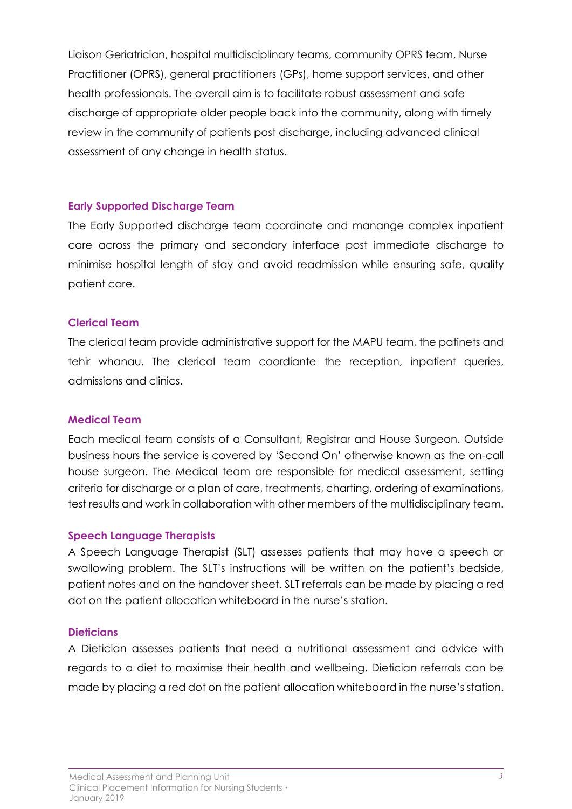Liaison Geriatrician, hospital multidisciplinary teams, community OPRS team, Nurse Practitioner (OPRS), general practitioners (GPs), home support services, and other health professionals. The overall aim is to facilitate robust assessment and safe discharge of appropriate older people back into the community, along with timely review in the community of patients post discharge, including advanced clinical assessment of any change in health status.

### **Early Supported Discharge Team**

The Early Supported discharge team coordinate and manange complex inpatient care across the primary and secondary interface post immediate discharge to minimise hospital length of stay and avoid readmission while ensuring safe, quality patient care.

#### **Clerical Team**

The clerical team provide administrative support for the MAPU team, the patinets and tehir whanau. The clerical team coordiante the reception, inpatient queries, admissions and clinics.

#### **Medical Team**

Each medical team consists of a Consultant, Registrar and House Surgeon. Outside business hours the service is covered by 'Second On' otherwise known as the on-call house surgeon. The Medical team are responsible for medical assessment, setting criteria for discharge or a plan of care, treatments, charting, ordering of examinations, test results and work in collaboration with other members of the multidisciplinary team.

### **Speech Language Therapists**

A Speech Language Therapist (SLT) assesses patients that may have a speech or swallowing problem. The SLT's instructions will be written on the patient's bedside, patient notes and on the handover sheet. SLT referrals can be made by placing a red dot on the patient allocation whiteboard in the nurse's station.

### **Dieticians**

A Dietician assesses patients that need a nutritional assessment and advice with regards to a diet to maximise their health and wellbeing. Dietician referrals can be made by placing a red dot on the patient allocation whiteboard in the nurse's station.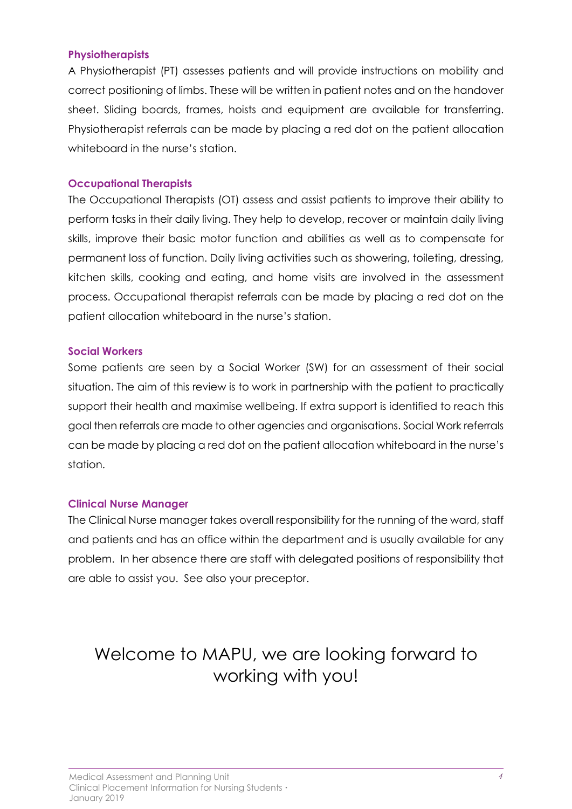#### **Physiotherapists**

A Physiotherapist (PT) assesses patients and will provide instructions on mobility and correct positioning of limbs. These will be written in patient notes and on the handover sheet. Sliding boards, frames, hoists and equipment are available for transferring. Physiotherapist referrals can be made by placing a red dot on the patient allocation whiteboard in the nurse's station.

### **Occupational Therapists**

The Occupational Therapists (OT) assess and assist patients to improve their ability to perform tasks in their daily living. They help to develop, recover or maintain daily living skills, improve their basic motor function and abilities as well as to compensate for permanent loss of function. Daily living activities such as showering, toileting, dressing, kitchen skills, cooking and eating, and home visits are involved in the assessment process. Occupational therapist referrals can be made by placing a red dot on the patient allocation whiteboard in the nurse's station.

### **Social Workers**

Some patients are seen by a Social Worker (SW) for an assessment of their social situation. The aim of this review is to work in partnership with the patient to practically support their health and maximise wellbeing. If extra support is identified to reach this goal then referrals are made to other agencies and organisations. Social Work referrals can be made by placing a red dot on the patient allocation whiteboard in the nurse's station.

### **Clinical Nurse Manager**

The Clinical Nurse manager takes overall responsibility for the running of the ward, staff and patients and has an office within the department and is usually available for any problem. In her absence there are staff with delegated positions of responsibility that are able to assist you. See also your preceptor.

### Welcome to MAPU, we are looking forward to working with you!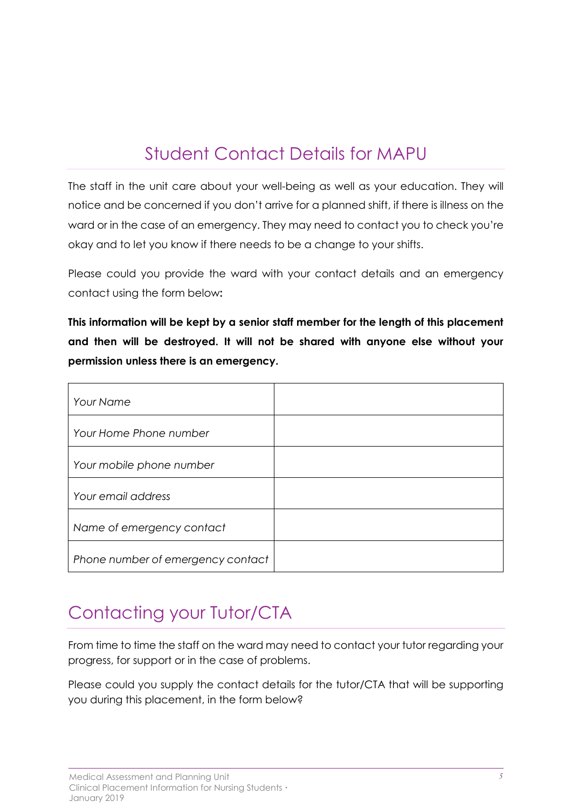# Student Contact Details for MAPU

The staff in the unit care about your well-being as well as your education. They will notice and be concerned if you don't arrive for a planned shift, if there is illness on the ward or in the case of an emergency. They may need to contact you to check you're okay and to let you know if there needs to be a change to your shifts.

Please could you provide the ward with your contact details and an emergency contact using the form below**:**

**This information will be kept by a senior staff member for the length of this placement and then will be destroyed. It will not be shared with anyone else without your permission unless there is an emergency.**

| Your Name                         |  |
|-----------------------------------|--|
| Your Home Phone number            |  |
| Your mobile phone number          |  |
| Your email address                |  |
| Name of emergency contact         |  |
| Phone number of emergency contact |  |

# Contacting your Tutor/CTA

From time to time the staff on the ward may need to contact your tutor regarding your progress, for support or in the case of problems.

Please could you supply the contact details for the tutor/CTA that will be supporting you during this placement, in the form below?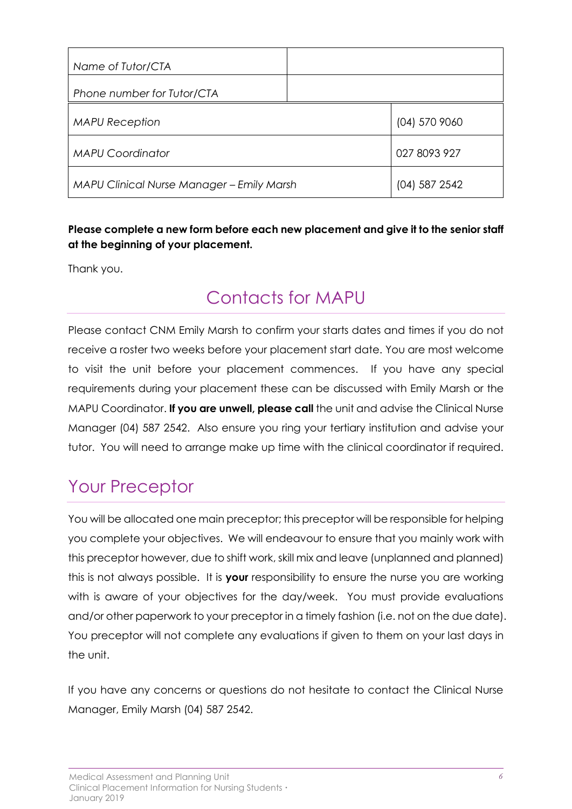| Name of Tutor/CTA                                |  |                 |
|--------------------------------------------------|--|-----------------|
| Phone number for Tutor/CTA                       |  |                 |
| <b>MAPU Reception</b>                            |  | $(04)$ 570 9060 |
| <b>MAPU Coordinator</b>                          |  | 027 8093 927    |
| <b>MAPU Clinical Nurse Manager - Emily Marsh</b> |  | $(04)$ 587 2542 |

### **Please complete a new form before each new placement and give it to the senior staff at the beginning of your placement.**

Thank you.

# Contacts for MAPU

Please contact CNM Emily Marsh to confirm your starts dates and times if you do not receive a roster two weeks before your placement start date. You are most welcome to visit the unit before your placement commences. If you have any special requirements during your placement these can be discussed with Emily Marsh or the MAPU Coordinator. **If you are unwell, please call** the unit and advise the Clinical Nurse Manager (04) 587 2542. Also ensure you ring your tertiary institution and advise your tutor. You will need to arrange make up time with the clinical coordinator if required.

### Your Preceptor

You will be allocated one main preceptor; this preceptor will be responsible for helping you complete your objectives. We will endeavour to ensure that you mainly work with this preceptor however, due to shift work, skill mix and leave (unplanned and planned) this is not always possible. It is **your** responsibility to ensure the nurse you are working with is aware of your objectives for the day/week. You must provide evaluations and/or other paperwork to your preceptor in a timely fashion (i.e. not on the due date). You preceptor will not complete any evaluations if given to them on your last days in the unit.

If you have any concerns or questions do not hesitate to contact the Clinical Nurse Manager, Emily Marsh (04) 587 2542.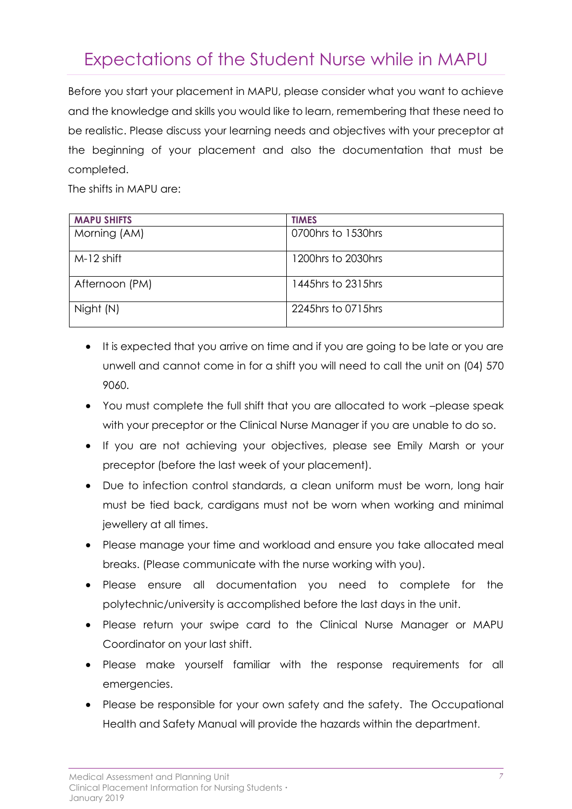# Expectations of the Student Nurse while in MAPU

Before you start your placement in MAPU, please consider what you want to achieve and the knowledge and skills you would like to learn, remembering that these need to be realistic. Please discuss your learning needs and objectives with your preceptor at the beginning of your placement and also the documentation that must be completed.

The shifts in MAPU are:

| <b>MAPU SHIFTS</b> | <b>TIMES</b>       |
|--------------------|--------------------|
| Morning (AM)       | 0700hrs to 1530hrs |
| $M-12$ shift       | 1200hrs to 2030hrs |
| Afternoon (PM)     | 1445hrs to 2315hrs |
| Night (N)          | 2245hrs to 0715hrs |

- It is expected that you arrive on time and if you are going to be late or you are unwell and cannot come in for a shift you will need to call the unit on (04) 570 9060.
- You must complete the full shift that you are allocated to work –please speak with your preceptor or the Clinical Nurse Manager if you are unable to do so.
- If you are not achieving your objectives, please see Emily Marsh or your preceptor (before the last week of your placement).
- Due to infection control standards, a clean uniform must be worn, long hair must be tied back, cardigans must not be worn when working and minimal jewellery at all times.
- Please manage your time and workload and ensure you take allocated meal breaks. (Please communicate with the nurse working with you).
- Please ensure all documentation you need to complete for the polytechnic/university is accomplished before the last days in the unit.
- Please return your swipe card to the Clinical Nurse Manager or MAPU Coordinator on your last shift.
- Please make yourself familiar with the response requirements for all emergencies.
- Please be responsible for your own safety and the safety. The Occupational Health and Safety Manual will provide the hazards within the department.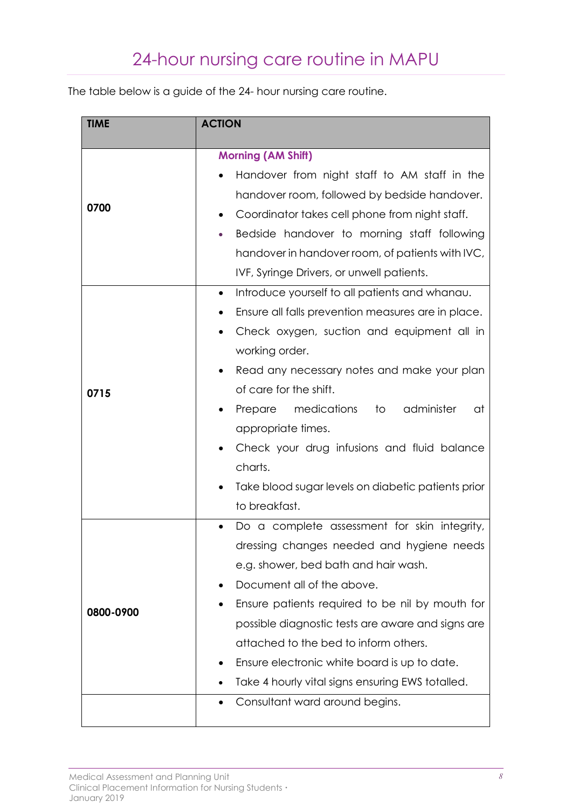The table below is a guide of the 24- hour nursing care routine.

| <b>TIME</b> | <b>ACTION</b>                                                                                                                                                                                                                                                                                                                                                                                                                                                 |  |  |
|-------------|---------------------------------------------------------------------------------------------------------------------------------------------------------------------------------------------------------------------------------------------------------------------------------------------------------------------------------------------------------------------------------------------------------------------------------------------------------------|--|--|
| 0700        | <b>Morning (AM Shift)</b><br>Handover from night staff to AM staff in the<br>handover room, followed by bedside handover.<br>Coordinator takes cell phone from night staff.<br>Bedside handover to morning staff following<br>handover in handover room, of patients with IVC,<br>IVF, Syringe Drivers, or unwell patients.                                                                                                                                   |  |  |
| 0715        | Introduce yourself to all patients and whanau.<br>٠<br>Ensure all falls prevention measures are in place.<br>Check oxygen, suction and equipment all in<br>working order.<br>Read any necessary notes and make your plan<br>of care for the shift.<br>administer<br>medications<br>Prepare<br>to<br>at<br>appropriate times.<br>Check your drug infusions and fluid balance<br>charts.<br>Take blood sugar levels on diabetic patients prior<br>to breakfast. |  |  |
| 0800-0900   | Do a complete assessment for skin integrity,<br>dressing changes needed and hygiene needs<br>e.g. shower, bed bath and hair wash.<br>Document all of the above.<br>Ensure patients required to be nil by mouth for<br>possible diagnostic tests are aware and signs are<br>attached to the bed to inform others.<br>Ensure electronic white board is up to date.<br>Take 4 hourly vital signs ensuring EWS totalled.<br>Consultant ward around begins.        |  |  |
|             |                                                                                                                                                                                                                                                                                                                                                                                                                                                               |  |  |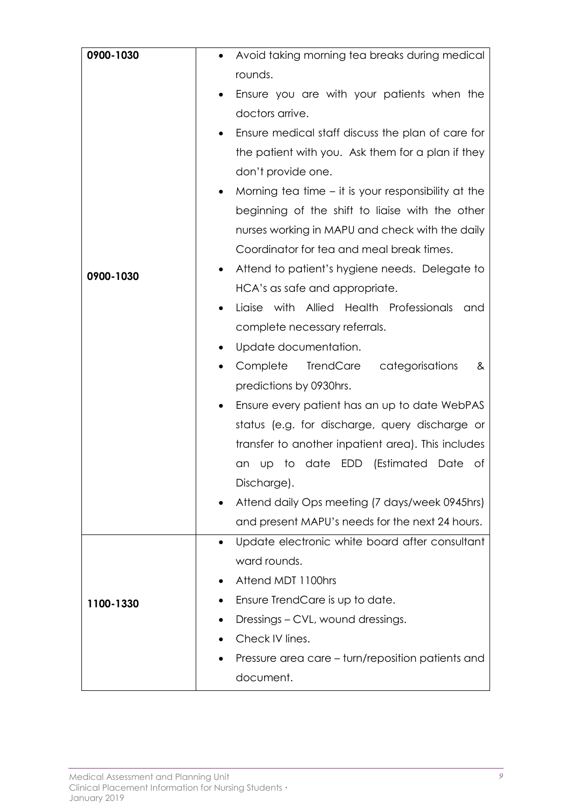| 0900-1030 | Avoid taking morning tea breaks during medical<br>$\bullet$ |
|-----------|-------------------------------------------------------------|
|           | rounds.                                                     |
|           | Ensure you are with your patients when the<br>$\bullet$     |
|           | doctors arrive.                                             |
|           | Ensure medical staff discuss the plan of care for           |
|           | the patient with you. Ask them for a plan if they           |
|           | don't provide one.                                          |
|           | Morning tea time $-$ it is your responsibility at the       |
|           | beginning of the shift to liaise with the other             |
|           | nurses working in MAPU and check with the daily             |
|           | Coordinator for tea and meal break times.                   |
| 0900-1030 | Attend to patient's hygiene needs. Delegate to              |
|           | HCA's as safe and appropriate.                              |
|           | Ligise with Allied Health Professionals<br>and              |
|           | complete necessary referrals.                               |
|           | Update documentation.                                       |
|           | TrendCare<br>categorisations<br>Complete<br>&               |
|           | predictions by 0930hrs.                                     |
|           | Ensure every patient has an up to date WebPAS<br>$\bullet$  |
|           | status (e.g. for discharge, query discharge or              |
|           | transfer to another inpatient area). This includes          |
|           | to date EDD (Estimated Date of<br>an<br>Up                  |
|           | Discharge).                                                 |
|           | Attend daily Ops meeting (7 days/week 0945hrs)              |
|           | and present MAPU's needs for the next 24 hours.             |
|           | Update electronic white board after consultant              |
|           | ward rounds.                                                |
|           | Attend MDT 1100hrs                                          |
| 1100-1330 | Ensure TrendCare is up to date.                             |
|           | Dressings – CVL, wound dressings.                           |
|           | Check IV lines.                                             |
|           | Pressure area care – turn/reposition patients and           |
|           | document.                                                   |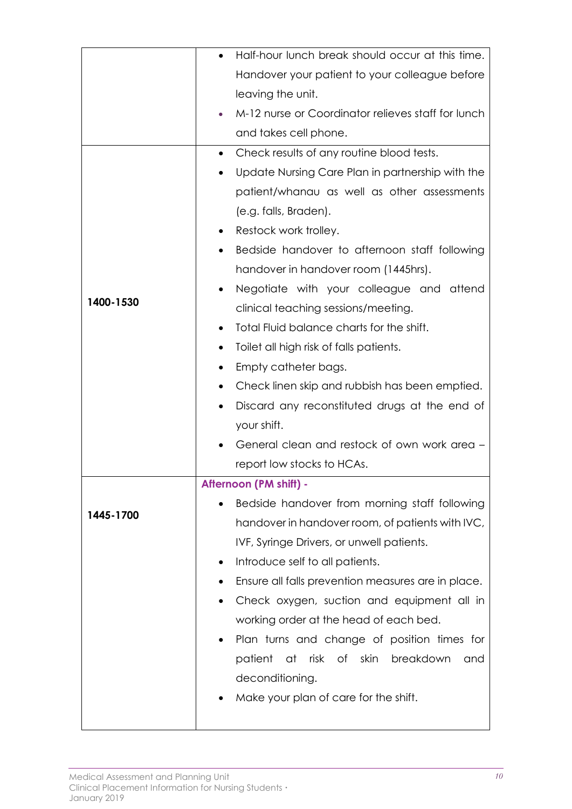|           | Half-hour lunch break should occur at this time.       |
|-----------|--------------------------------------------------------|
|           | Handover your patient to your colleague before         |
|           | leaving the unit.                                      |
|           | M-12 nurse or Coordinator relieves staff for lunch     |
|           | and takes cell phone.                                  |
|           | Check results of any routine blood tests.<br>$\bullet$ |
|           | Update Nursing Care Plan in partnership with the       |
|           | patient/whanau as well as other assessments            |
|           | (e.g. falls, Braden).                                  |
|           | Restock work trolley.<br>$\bullet$                     |
|           | Bedside handover to afternoon staff following          |
|           | handover in handover room (1445hrs).                   |
|           | Negotiate with your colleague and attend               |
| 1400-1530 | clinical teaching sessions/meeting.                    |
|           | Total Fluid balance charts for the shift.              |
|           | Toilet all high risk of falls patients.<br>٠           |
|           | Empty catheter bags.                                   |
|           | Check linen skip and rubbish has been emptied.         |
|           | Discard any reconstituted drugs at the end of          |
|           | your shift.                                            |
|           | General clean and restock of own work area -           |
|           | report low stocks to HCAs.                             |
|           | Afternoon (PM shift) -                                 |
|           | Bedside handover from morning staff following          |
| 1445-1700 | handover in handover room, of patients with IVC,       |
|           | IVF, Syringe Drivers, or unwell patients.              |
|           | Introduce self to all patients.                        |
|           | Ensure all falls prevention measures are in place.     |
|           | Check oxygen, suction and equipment all in             |
|           | working order at the head of each bed.                 |
|           | Plan turns and change of position times for            |
|           | at risk of skin<br>breakdown<br>patient<br>and         |
|           | deconditioning.                                        |
|           | Make your plan of care for the shift.                  |
|           |                                                        |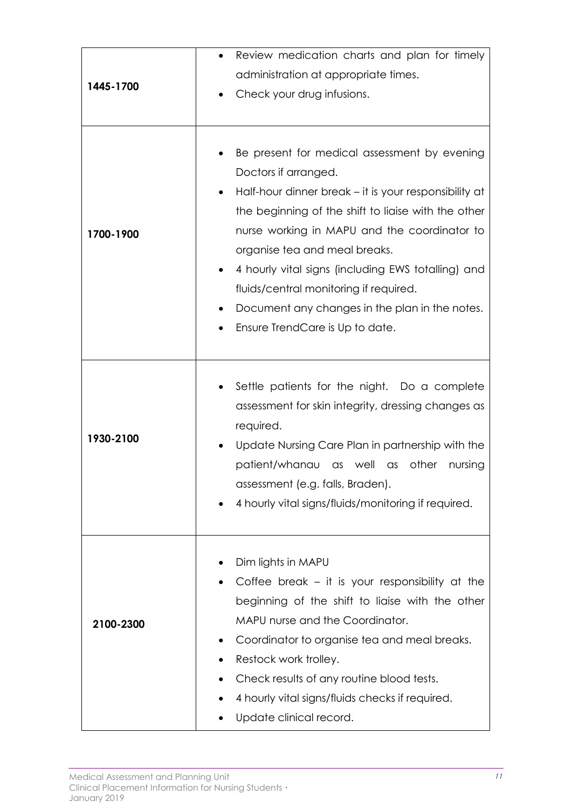|           | Review medication charts and plan for timely<br>administration at appropriate times.                                                                                                                                                                                                                                                                                                                                                                       |
|-----------|------------------------------------------------------------------------------------------------------------------------------------------------------------------------------------------------------------------------------------------------------------------------------------------------------------------------------------------------------------------------------------------------------------------------------------------------------------|
| 1445-1700 | Check your drug infusions.                                                                                                                                                                                                                                                                                                                                                                                                                                 |
| 1700-1900 | Be present for medical assessment by evening<br>Doctors if arranged.<br>Half-hour dinner break - it is your responsibility at<br>the beginning of the shift to liaise with the other<br>nurse working in MAPU and the coordinator to<br>organise tea and meal breaks.<br>4 hourly vital signs (including EWS totalling) and<br>fluids/central monitoring if required.<br>Document any changes in the plan in the notes.<br>Ensure TrendCare is Up to date. |
| 1930-2100 | Settle patients for the night. Do a complete<br>assessment for skin integrity, dressing changes as<br>required.<br>Update Nursing Care Plan in partnership with the<br>other<br>patient/whanau as well<br>nursing<br>$\alpha$ s<br>assessment (e.g. falls, Braden).<br>4 hourly vital signs/fluids/monitoring if required.                                                                                                                                 |
| 2100-2300 | Dim lights in MAPU<br>Coffee break $-$ it is your responsibility at the<br>beginning of the shift to liaise with the other<br>MAPU nurse and the Coordinator.<br>Coordinator to organise tea and meal breaks.<br>Restock work trolley.<br>Check results of any routine blood tests.<br>4 hourly vital signs/fluids checks if required.<br>Update clinical record.                                                                                          |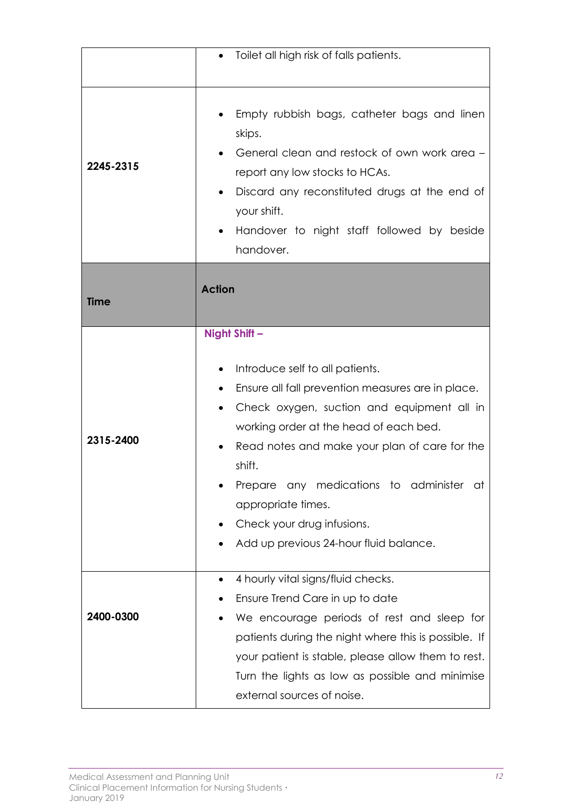|             | Toilet all high risk of falls patients.                                                                                                                                                                                                                                                                                                                                                            |
|-------------|----------------------------------------------------------------------------------------------------------------------------------------------------------------------------------------------------------------------------------------------------------------------------------------------------------------------------------------------------------------------------------------------------|
|             |                                                                                                                                                                                                                                                                                                                                                                                                    |
| 2245-2315   | Empty rubbish bags, catheter bags and linen<br>skips.<br>General clean and restock of own work area -<br>report any low stocks to HCAs.<br>Discard any reconstituted drugs at the end of<br>your shift.<br>Handover to night staff followed by beside<br>handover.                                                                                                                                 |
| <b>Time</b> | <b>Action</b>                                                                                                                                                                                                                                                                                                                                                                                      |
| 2315-2400   | Night Shift -<br>Introduce self to all patients.<br>Ensure all fall prevention measures are in place.<br>Check oxygen, suction and equipment all in<br>working order at the head of each bed.<br>Read notes and make your plan of care for the<br>shift.<br>Prepare any medications to administer at<br>appropriate times.<br>Check your drug infusions.<br>Add up previous 24-hour fluid balance. |
| 2400-0300   | 4 hourly vital signs/fluid checks.<br>Ensure Trend Care in up to date<br>We encourage periods of rest and sleep for<br>patients during the night where this is possible. If<br>your patient is stable, please allow them to rest.<br>Turn the lights as low as possible and minimise<br>external sources of noise.                                                                                 |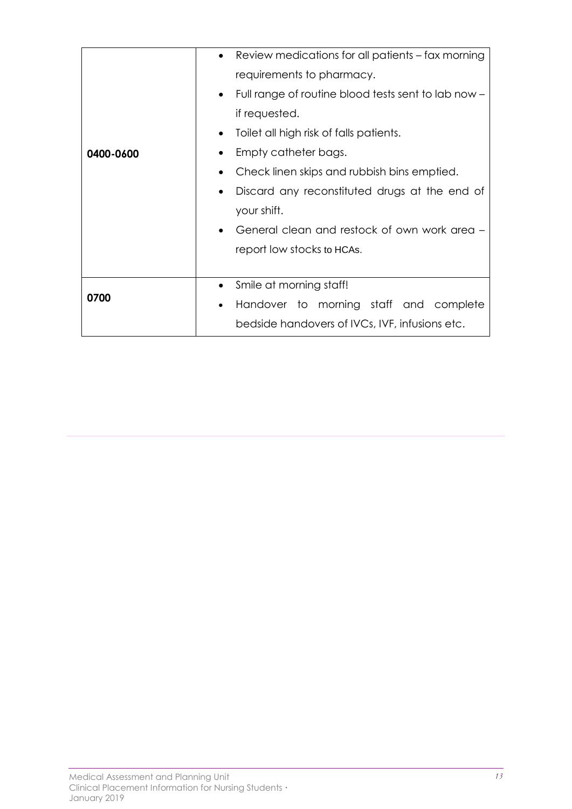|           | Review medications for all patients – fax morning<br>$\bullet$   |
|-----------|------------------------------------------------------------------|
|           | requirements to pharmacy.                                        |
|           | Full range of routine blood tests sent to lab now -<br>$\bullet$ |
|           | if requested.                                                    |
|           | Toilet all high risk of falls patients.                          |
| 0400-0600 | Empty catheter bags.                                             |
|           | Check linen skips and rubbish bins emptied.                      |
|           | Discard any reconstituted drugs at the end of<br>$\bullet$       |
|           | your shift.                                                      |
|           | General clean and restock of own work area -                     |
|           | report low stocks to HCAs.                                       |
|           |                                                                  |
|           | Smile at morning staff!<br>$\bullet$                             |
| 0700      | Handover to morning staff and complete                           |
|           | bedside handovers of IVCs, IVF, infusions etc.                   |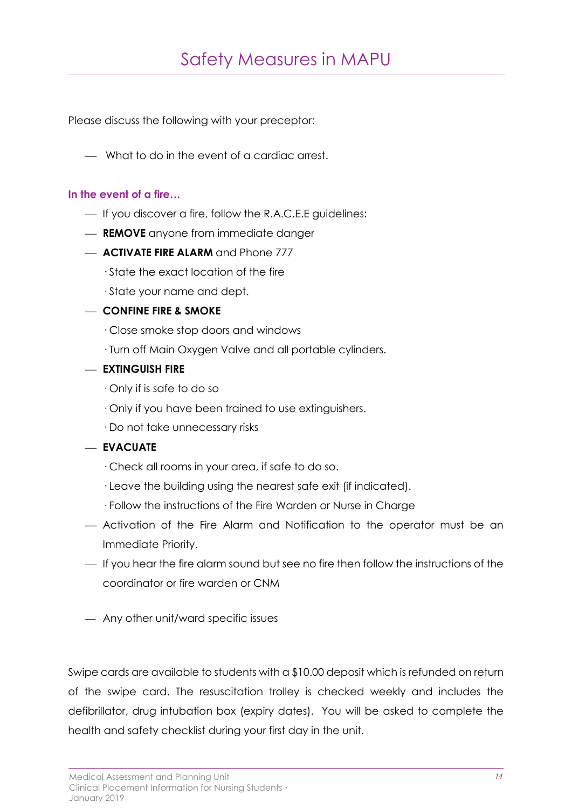Please discuss the following with your preceptor:

What to do in the event of a cardiac arrest.

### **In the event of a fire…**

- If you discover a fire, follow the R.A.C.E.E guidelines:
- **REMOVE** anyone from immediate danger
- **ACTIVATE FIRE ALARM** and Phone 777
	- · State the exact location of the fire
	- · State your name and dept.

### **CONFINE FIRE & SMOKE**

- · Close smoke stop doors and windows
- · Turn off Main Oxygen Valve and all portable cylinders.
- **EXTINGUISH FIRE**
	- · Only if is safe to do so
	- · Only if you have been trained to use extinguishers.
	- · Do not take unnecessary risks

### **EVACUATE**

- · Check all rooms in your area, if safe to do so.
- · Leave the building using the nearest safe exit (if indicated).
- · Follow the instructions of the Fire Warden or Nurse in Charge
- Activation of the Fire Alarm and Notification to the operator must be an Immediate Priority.
- If you hear the fire alarm sound but see no fire then follow the instructions of the coordinator or fire warden or CNM
- Any other unit/ward specific issues

Swipe cards are available to students with a \$10.00 deposit which is refunded on return of the swipe card. The resuscitation trolley is checked weekly and includes the defibrillator, drug intubation box (expiry dates). You will be asked to complete the health and safety checklist during your first day in the unit.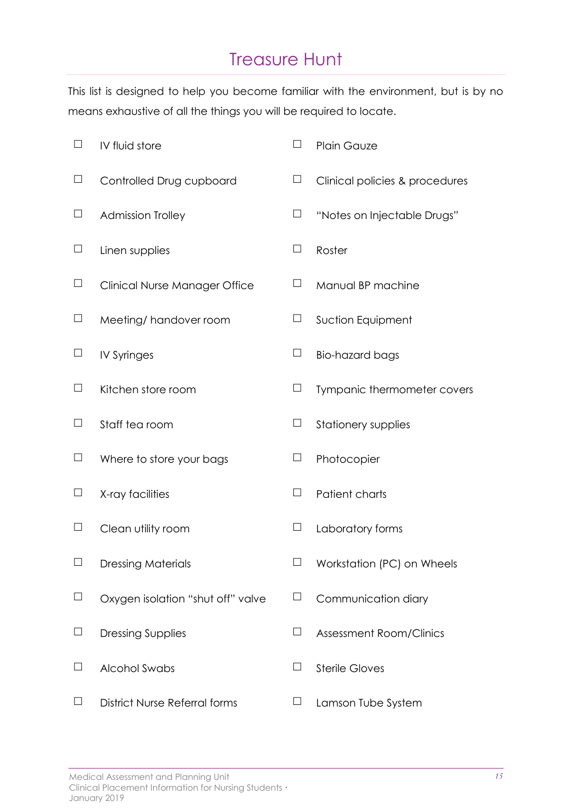### Treasure Hunt

This list is designed to help you become familiar with the environment, but is by no means exhaustive of all the things you will be required to locate.

| $\Box$ | IV fluid store                       | $\Box$                   | <b>Plain Gauze</b>             |
|--------|--------------------------------------|--------------------------|--------------------------------|
| $\Box$ | Controlled Drug cupboard             | $\Box$                   | Clinical policies & procedures |
| $\Box$ | <b>Admission Trolley</b>             | $\Box$                   | "Notes on Injectable Drugs"    |
| $\Box$ | Linen supplies                       | $\Box$                   | Roster                         |
| $\Box$ | Clinical Nurse Manager Office        | $\Box$                   | Manual BP machine              |
| $\Box$ | Meeting/handover room                | $\Box$                   | Suction Equipment              |
| $\Box$ | <b>IV Syringes</b>                   | $\Box$                   | <b>Bio-hazard bags</b>         |
| $\Box$ | Kitchen store room                   | $\Box$                   | Tympanic thermometer covers    |
| $\Box$ | Staff tea room                       | $\Box$                   | <b>Stationery supplies</b>     |
| $\Box$ | Where to store your bags             | $\Box$                   | Photocopier                    |
| $\Box$ | X-ray facilities                     | $\Box$                   | Patient charts                 |
| $\Box$ | Clean utility room                   | $\Box$                   | Laboratory forms               |
|        | <b>Dressing Materials</b>            |                          | Workstation (PC) on Wheels     |
|        | Oxygen isolation "shut off" valve    | Ц                        | Communication diary            |
| Ц      | <b>Dressing Supplies</b>             | $\Box$                   | <b>Assessment Room/Clinics</b> |
|        | Alcohol Swabs                        | $\overline{\phantom{a}}$ | <b>Sterile Gloves</b>          |
|        | <b>District Nurse Referral forms</b> | Ц                        | Lamson Tube System             |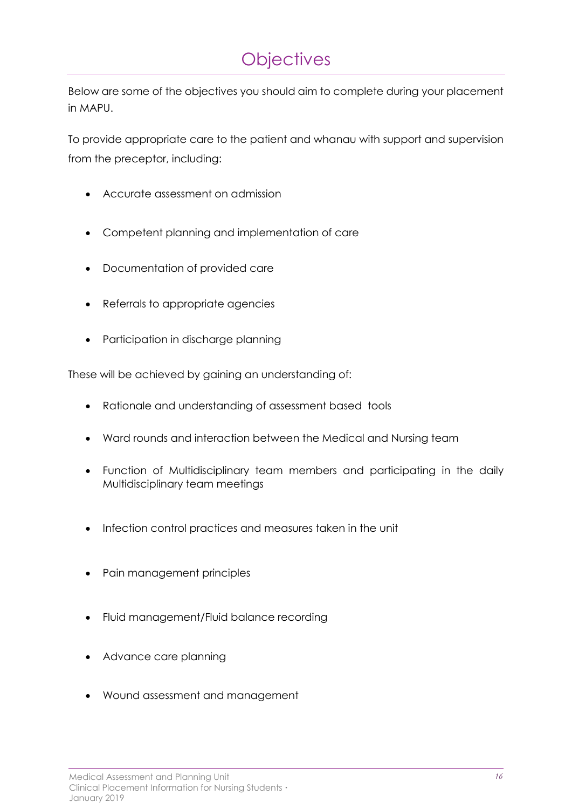# **Objectives**

Below are some of the objectives you should aim to complete during your placement in MAPU.

To provide appropriate care to the patient and whanau with support and supervision from the preceptor, including:

- Accurate assessment on admission
- Competent planning and implementation of care
- Documentation of provided care
- Referrals to appropriate agencies
- Participation in discharge planning

These will be achieved by gaining an understanding of:

- Rationale and understanding of assessment based tools
- Ward rounds and interaction between the Medical and Nursing team
- Function of Multidisciplinary team members and participating in the daily Multidisciplinary team meetings
- Infection control practices and measures taken in the unit
- Pain management principles
- Fluid management/Fluid balance recording
- Advance care planning
- Wound assessment and management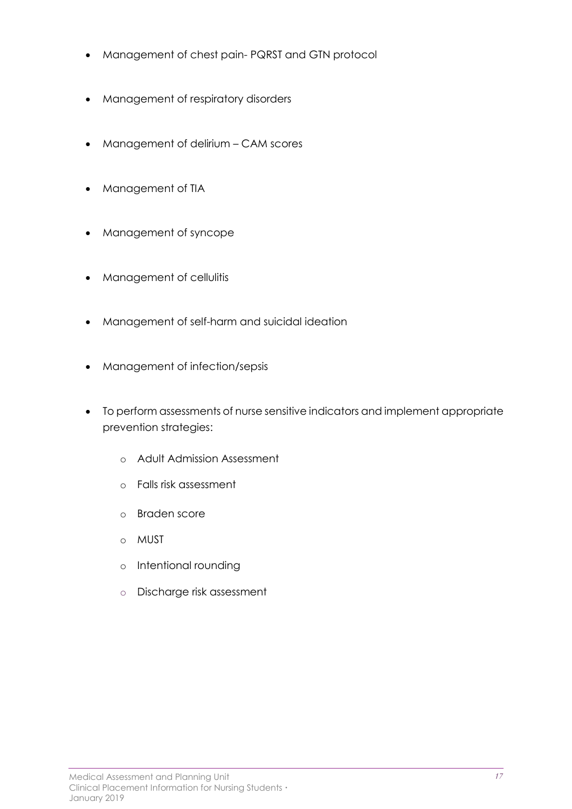- Management of chest pain- PQRST and GTN protocol
- Management of respiratory disorders
- Management of delirium CAM scores
- Management of TIA
- Management of syncope
- Management of cellulitis
- Management of self-harm and suicidal ideation
- Management of infection/sepsis
- To perform assessments of nurse sensitive indicators and implement appropriate prevention strategies:
	- o Adult Admission Assessment
	- o Falls risk assessment
	- o Braden score
	- o MUST
	- o Intentional rounding
	- o Discharge risk assessment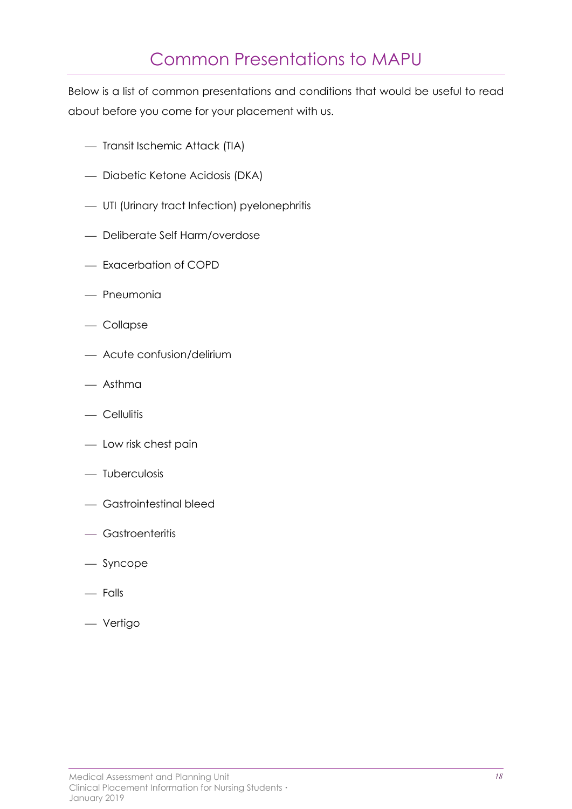### Common Presentations to MAPU

Below is a list of common presentations and conditions that would be useful to read about before you come for your placement with us.

- Transit Ischemic Attack (TIA)
- Diabetic Ketone Acidosis (DKA)
- UTI (Urinary tract Infection) pyelonephritis
- Deliberate Self Harm/overdose
- Exacerbation of COPD
- Pneumonia
- Collapse
- Acute confusion/delirium
- Asthma
- $-$  Cellulitis
- Low risk chest pain
- Tuberculosis
- Gastrointestinal bleed
- Gastroenteritis
- Syncope
- Falls
- Vertigo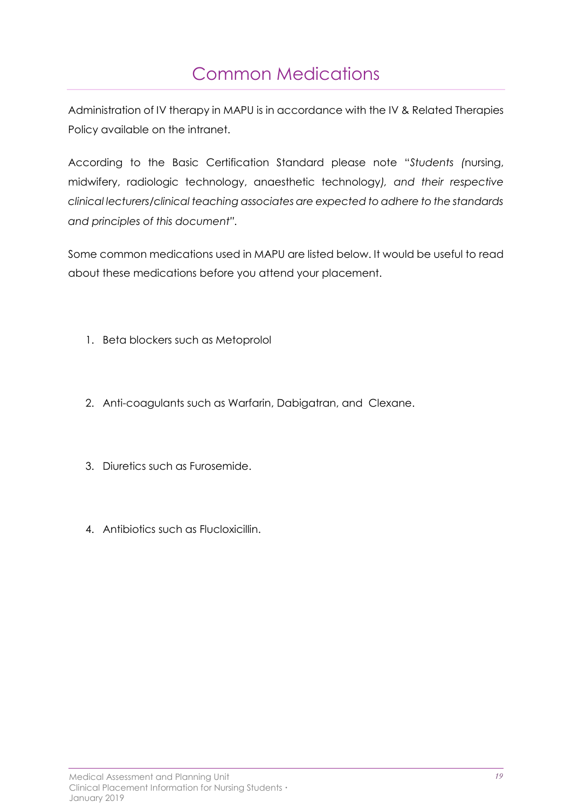### Common Medications

Administration of IV therapy in MAPU is in accordance with the [IV & Related Therapies](http://intranet.huttvalleydhb.org.nz/content/cfb869c8-a762-4207-ba1a-edd385468b3a.html) Policy available on the intranet.

According to the Basic Certification Standard please note "*Students (*nursing, midwifery, radiologic technology, anaesthetic technology*), and their respective clinical lecturers/clinical teaching associates are expected to adhere to the standards and principles of this document".* 

Some common medications used in MAPU are listed below. It would be useful to read about these medications before you attend your placement.

- 1. Beta blockers such as Metoprolol
- 2. Anti-coagulants such as Warfarin, Dabigatran, and Clexane.
- 3. Diuretics such as Furosemide.
- 4. Antibiotics such as Flucloxicillin.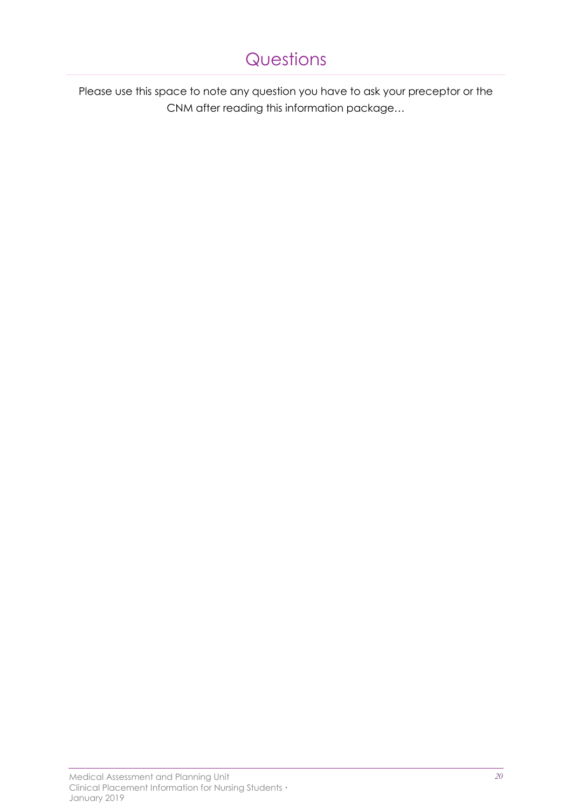### Questions

Please use this space to note any question you have to ask your preceptor or the CNM after reading this information package…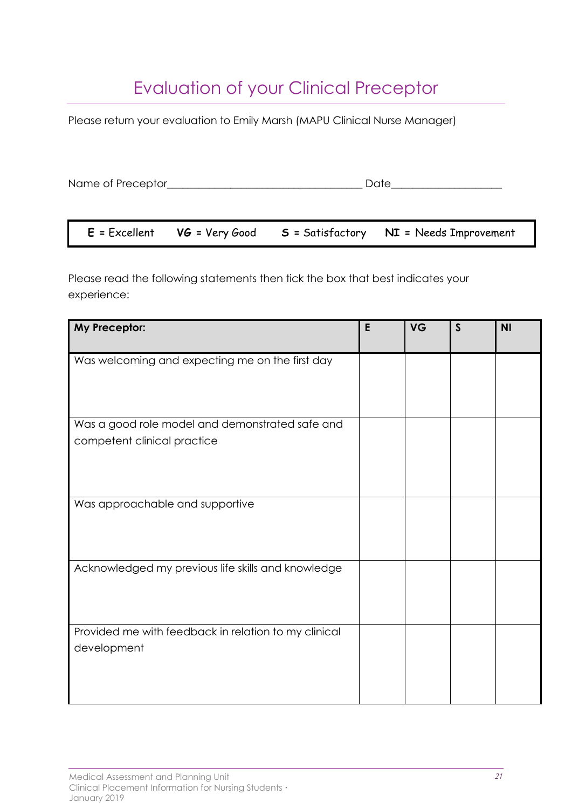# Evaluation of your Clinical Preceptor

Please return your evaluation to Emily Marsh (MAPU Clinical Nurse Manager)

| Name of Preceptor_ | Date |
|--------------------|------|
|--------------------|------|

|  |  |  | $E$ = Excellent VG = Very Good $S$ = Satisfactory NI = Needs Improvement |
|--|--|--|--------------------------------------------------------------------------|
|--|--|--|--------------------------------------------------------------------------|

Please read the following statements then tick the box that best indicates your experience:

| My Preceptor:                                                                  | E | <b>VG</b> | $\mathsf{S}$ | <b>NI</b> |
|--------------------------------------------------------------------------------|---|-----------|--------------|-----------|
| Was welcoming and expecting me on the first day                                |   |           |              |           |
| Was a good role model and demonstrated safe and<br>competent clinical practice |   |           |              |           |
| Was approachable and supportive                                                |   |           |              |           |
| Acknowledged my previous life skills and knowledge                             |   |           |              |           |
| Provided me with feedback in relation to my clinical<br>development            |   |           |              |           |